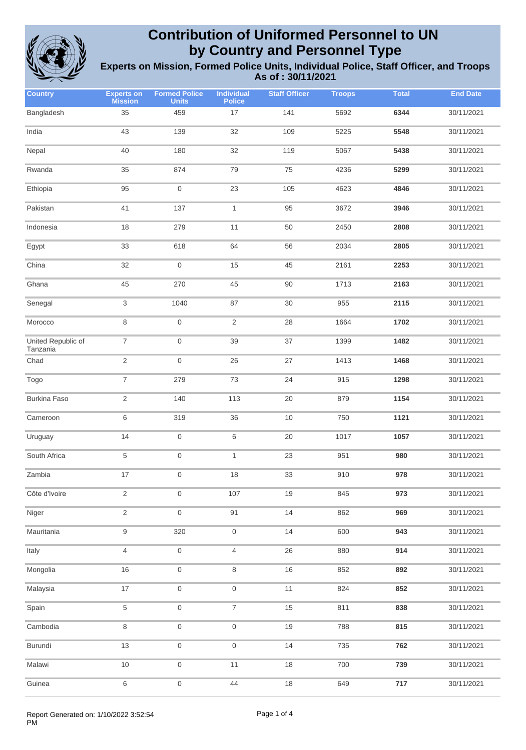

| <b>Country</b>                 | <b>Experts on</b><br><b>Mission</b> | <b>Formed Police</b><br><b>Units</b> | <b>Individual</b><br><b>Police</b> | <b>Staff Officer</b> | <b>Troops</b> | <b>Total</b> | <b>End Date</b> |
|--------------------------------|-------------------------------------|--------------------------------------|------------------------------------|----------------------|---------------|--------------|-----------------|
| Bangladesh                     | 35                                  | 459                                  | 17                                 | 141                  | 5692          | 6344         | 30/11/2021      |
| India                          | 43                                  | 139                                  | 32                                 | 109                  | 5225          | 5548         | 30/11/2021      |
| Nepal                          | 40                                  | 180                                  | 32                                 | 119                  | 5067          | 5438         | 30/11/2021      |
| Rwanda                         | 35                                  | 874                                  | 79                                 | 75                   | 4236          | 5299         | 30/11/2021      |
| Ethiopia                       | 95                                  | $\mathbf 0$                          | 23                                 | 105                  | 4623          | 4846         | 30/11/2021      |
| Pakistan                       | 41                                  | 137                                  | $\mathbf{1}$                       | 95                   | 3672          | 3946         | 30/11/2021      |
| Indonesia                      | 18                                  | 279                                  | 11                                 | 50                   | 2450          | 2808         | 30/11/2021      |
| Egypt                          | 33                                  | 618                                  | 64                                 | 56                   | 2034          | 2805         | 30/11/2021      |
| China                          | 32                                  | $\mathsf{O}\xspace$                  | 15                                 | 45                   | 2161          | 2253         | 30/11/2021      |
| Ghana                          | 45                                  | 270                                  | 45                                 | 90                   | 1713          | 2163         | 30/11/2021      |
| Senegal                        | 3                                   | 1040                                 | 87                                 | 30                   | 955           | 2115         | 30/11/2021      |
| Morocco                        | $\,8\,$                             | $\,0\,$                              | $\sqrt{2}$                         | 28                   | 1664          | 1702         | 30/11/2021      |
| United Republic of<br>Tanzania | $\boldsymbol{7}$                    | $\mathsf{O}\xspace$                  | 39                                 | 37                   | 1399          | 1482         | 30/11/2021      |
| Chad                           | $\sqrt{2}$                          | $\boldsymbol{0}$                     | 26                                 | 27                   | 1413          | 1468         | 30/11/2021      |
| Togo                           | $\boldsymbol{7}$                    | 279                                  | 73                                 | 24                   | 915           | 1298         | 30/11/2021      |
| <b>Burkina Faso</b>            | $\sqrt{2}$                          | 140                                  | 113                                | 20                   | 879           | 1154         | 30/11/2021      |
| Cameroon                       | 6                                   | 319                                  | 36                                 | $10$                 | 750           | 1121         | 30/11/2021      |
| Uruguay                        | 14                                  | $\,0\,$                              | 6                                  | $20\,$               | 1017          | 1057         | 30/11/2021      |
| South Africa                   | $\,$ 5 $\,$                         | $\mathsf{O}\xspace$                  | $\mathbf{1}$                       | 23                   | 951           | 980          | 30/11/2021      |
| Zambia                         | 17                                  | $\boldsymbol{0}$                     | 18                                 | 33                   | 910           | 978          | 30/11/2021      |
| Côte d'Ivoire                  | $\overline{2}$                      | $\mathsf{O}\xspace$                  | 107                                | 19                   | 845           | 973          | 30/11/2021      |
| Niger                          | $\overline{2}$                      | $\mathsf{O}\xspace$                  | 91                                 | 14                   | 862           | 969          | 30/11/2021      |
| Mauritania                     | $\boldsymbol{9}$                    | 320                                  | $\boldsymbol{0}$                   | 14                   | 600           | 943          | 30/11/2021      |
| Italy                          | 4                                   | $\mathsf{O}\xspace$                  | $\overline{4}$                     | 26                   | 880           | 914          | 30/11/2021      |
| Mongolia                       | $16$                                | $\mathsf{O}\xspace$                  | 8                                  | $16\,$               | 852           | 892          | 30/11/2021      |
| Malaysia                       | 17                                  | $\mathsf{O}\xspace$                  | $\boldsymbol{0}$                   | 11                   | 824           | 852          | 30/11/2021      |
| Spain                          | $\,$ 5 $\,$                         | $\mathsf{O}\xspace$                  | $\overline{7}$                     | 15                   | 811           | 838          | 30/11/2021      |
| Cambodia                       | $\,8\,$                             | $\mathsf{O}\xspace$                  | $\mathsf{O}\xspace$                | 19                   | 788           | 815          | 30/11/2021      |
| Burundi                        | $13$                                | $\mathsf{O}\xspace$                  | $\mathsf{O}\xspace$                | 14                   | 735           | 762          | 30/11/2021      |
| Malawi                         | $10$                                | $\boldsymbol{0}$                     | 11                                 | $18$                 | 700           | 739          | 30/11/2021      |
| Guinea                         | 6                                   | $\mathsf{O}\xspace$                  | 44                                 | $18\,$               | 649           | 717          | 30/11/2021      |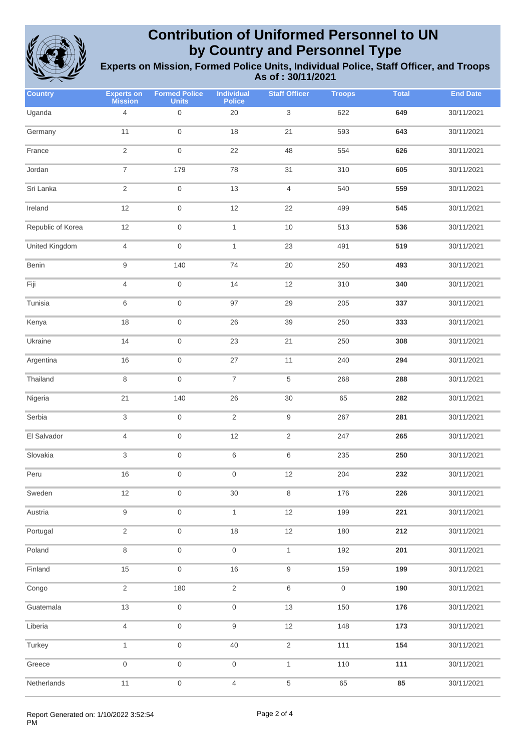

| <b>Country</b>    | <b>Experts on</b><br><b>Mission</b> | <b>Formed Police</b><br><b>Units</b> | <b>Individual</b><br><b>Police</b> | <b>Staff Officer</b>    | <b>Troops</b>       | <b>Total</b> | <b>End Date</b> |
|-------------------|-------------------------------------|--------------------------------------|------------------------------------|-------------------------|---------------------|--------------|-----------------|
| Uganda            | $\overline{4}$                      | $\mathsf{O}\xspace$                  | $20\,$                             | 3                       | 622                 | 649          | 30/11/2021      |
| Germany           | 11                                  | $\,0\,$                              | 18                                 | 21                      | 593                 | 643          | 30/11/2021      |
| France            | $\sqrt{2}$                          | $\mathbf 0$                          | 22                                 | 48                      | 554                 | 626          | 30/11/2021      |
| Jordan            | $\overline{7}$                      | 179                                  | 78                                 | 31                      | 310                 | 605          | 30/11/2021      |
| Sri Lanka         | $\mathbf 2$                         | $\,0\,$                              | 13                                 | 4                       | 540                 | 559          | 30/11/2021      |
| Ireland           | 12                                  | $\,0\,$                              | 12                                 | 22                      | 499                 | 545          | 30/11/2021      |
| Republic of Korea | 12                                  | $\,0\,$                              | $\mathbf{1}$                       | 10                      | 513                 | 536          | 30/11/2021      |
| United Kingdom    | $\overline{4}$                      | $\mathbf 0$                          | $\mathbf{1}$                       | 23                      | 491                 | 519          | 30/11/2021      |
| Benin             | $\boldsymbol{9}$                    | 140                                  | 74                                 | 20                      | 250                 | 493          | 30/11/2021      |
| Fiji              | $\sqrt{4}$                          | $\,0\,$                              | 14                                 | 12                      | 310                 | 340          | 30/11/2021      |
| Tunisia           | 6                                   | $\,0\,$                              | 97                                 | 29                      | 205                 | 337          | 30/11/2021      |
| Kenya             | 18                                  | $\mathbf 0$                          | 26                                 | 39                      | 250                 | 333          | 30/11/2021      |
| Ukraine           | 14                                  | $\mathbf 0$                          | 23                                 | 21                      | 250                 | 308          | 30/11/2021      |
| Argentina         | 16                                  | $\,0\,$                              | 27                                 | 11                      | 240                 | 294          | 30/11/2021      |
| Thailand          | 8                                   | $\,0\,$                              | $\overline{7}$                     | $\,$ 5 $\,$             | 268                 | 288          | 30/11/2021      |
| Nigeria           | 21                                  | 140                                  | 26                                 | 30                      | 65                  | 282          | 30/11/2021      |
| Serbia            | 3                                   | $\,0\,$                              | $\overline{2}$                     | $\boldsymbol{9}$        | 267                 | 281          | 30/11/2021      |
| El Salvador       | $\overline{4}$                      | $\mathbf 0$                          | 12                                 | $\overline{\mathbf{c}}$ | 247                 | 265          | 30/11/2021      |
| Slovakia          | $\,$ 3 $\,$                         | $\mathsf{O}\xspace$                  | 6                                  | 6                       | 235                 | 250          | 30/11/2021      |
| Peru              | 16                                  | $\mathsf{O}\xspace$                  | 0                                  | 12                      | 204                 | 232          | 30/11/2021      |
| Sweden            | 12                                  | $\,0\,$                              | $30\,$                             | 8                       | 176                 | 226          | 30/11/2021      |
| Austria           | $\boldsymbol{9}$                    | $\,0\,$                              | $\mathbf{1}$                       | 12                      | 199                 | 221          | 30/11/2021      |
| Portugal          | $\overline{2}$                      | $\,0\,$                              | 18                                 | 12                      | 180                 | 212          | 30/11/2021      |
| Poland            | $\,8\,$                             | $\,0\,$                              | $\mathsf{O}\xspace$                | $\mathbf{1}$            | 192                 | 201          | 30/11/2021      |
| Finland           | $15\,$                              | $\,0\,$                              | 16                                 | $\boldsymbol{9}$        | 159                 | 199          | 30/11/2021      |
| Congo             | $\sqrt{2}$                          | 180                                  | $\overline{c}$                     | 6                       | $\mathsf{O}\xspace$ | 190          | 30/11/2021      |
| Guatemala         | 13                                  | $\mathsf{O}\xspace$                  | $\mathsf{O}\xspace$                | 13                      | 150                 | 176          | 30/11/2021      |
| Liberia           | $\overline{4}$                      | $\,0\,$                              | 9                                  | 12                      | 148                 | 173          | 30/11/2021      |
| Turkey            | $\mathbf{1}$                        | $\,0\,$                              | 40                                 | $\sqrt{2}$              | 111                 | 154          | 30/11/2021      |
| Greece            | $\,0\,$                             | $\,0\,$                              | $\,0\,$                            | $\mathbf{1}$            | 110                 | 111          | 30/11/2021      |
| Netherlands       | 11                                  | $\mathbf 0$                          | $\overline{4}$                     | $\,$ 5 $\,$             | 65                  | 85           | 30/11/2021      |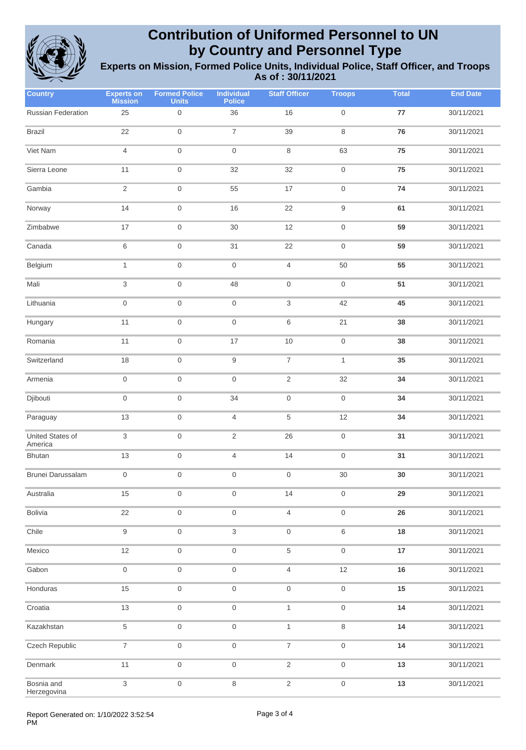

| <b>Country</b>              | <b>Experts on</b><br><b>Mission</b> | <b>Formed Police</b><br><b>Units</b> | <b>Individual</b><br><b>Police</b> | <b>Staff Officer</b> | <b>Troops</b>       | <b>Total</b> | <b>End Date</b> |
|-----------------------------|-------------------------------------|--------------------------------------|------------------------------------|----------------------|---------------------|--------------|-----------------|
| Russian Federation          | 25                                  | $\boldsymbol{0}$                     | 36                                 | 16                   | $\mathbf 0$         | 77           | 30/11/2021      |
| <b>Brazil</b>               | 22                                  | $\boldsymbol{0}$                     | $\overline{7}$                     | 39                   | 8                   | 76           | 30/11/2021      |
| Viet Nam                    | 4                                   | $\mathbf 0$                          | $\mathsf{O}\xspace$                | 8                    | 63                  | 75           | 30/11/2021      |
| Sierra Leone                | 11                                  | $\mathbf 0$                          | 32                                 | 32                   | $\mathsf{O}\xspace$ | 75           | 30/11/2021      |
| Gambia                      | $\sqrt{2}$                          | $\mathbf 0$                          | 55                                 | 17                   | $\boldsymbol{0}$    | 74           | 30/11/2021      |
| Norway                      | 14                                  | $\mathsf{O}\xspace$                  | 16                                 | 22                   | $\boldsymbol{9}$    | 61           | 30/11/2021      |
| Zimbabwe                    | 17                                  | $\mathbf 0$                          | 30                                 | 12                   | $\mathsf{O}\xspace$ | 59           | 30/11/2021      |
| Canada                      | $\,6$                               | $\mathbf 0$                          | 31                                 | 22                   | $\boldsymbol{0}$    | 59           | 30/11/2021      |
| Belgium                     | $\mathbf{1}$                        | $\mathbf 0$                          | 0                                  | $\overline{4}$       | 50                  | 55           | 30/11/2021      |
| Mali                        | $\,3$                               | $\mathsf{O}\xspace$                  | 48                                 | $\mathsf{O}\xspace$  | $\mathsf{O}\xspace$ | 51           | 30/11/2021      |
| Lithuania                   | $\boldsymbol{0}$                    | $\mathbf 0$                          | 0                                  | 3                    | 42                  | 45           | 30/11/2021      |
| Hungary                     | 11                                  | $\mathbf 0$                          | $\boldsymbol{0}$                   | 6                    | 21                  | 38           | 30/11/2021      |
| Romania                     | 11                                  | $\mathbf 0$                          | 17                                 | 10                   | $\mathsf{O}\xspace$ | 38           | 30/11/2021      |
| Switzerland                 | 18                                  | $\mathbf 0$                          | 9                                  | $\overline{7}$       | $\mathbf{1}$        | 35           | 30/11/2021      |
| Armenia                     | $\boldsymbol{0}$                    | $\mathsf{O}\xspace$                  | $\mathbf 0$                        | $\sqrt{2}$           | 32                  | 34           | 30/11/2021      |
| Djibouti                    | $\boldsymbol{0}$                    | $\mathbf 0$                          | 34                                 | $\mathsf{O}\xspace$  | $\mathsf{O}\xspace$ | 34           | 30/11/2021      |
| Paraguay                    | 13                                  | $\mathsf{O}\xspace$                  | $\overline{4}$                     | $\,$ 5 $\,$          | 12                  | 34           | 30/11/2021      |
| United States of<br>America | 3                                   | $\boldsymbol{0}$                     | 2                                  | 26                   | $\,0\,$             | 31           | 30/11/2021      |
| <b>Bhutan</b>               | $13$                                | $\mathsf{O}\xspace$                  | 4                                  | 14                   | $\mathsf{O}\xspace$ | 31           | 30/11/2021      |
| Brunei Darussalam           | $\boldsymbol{0}$                    | $\mathbf 0$                          | $\boldsymbol{0}$                   | $\mathsf{O}\xspace$  | $30\,$              | 30           | 30/11/2021      |
| Australia                   | 15                                  | $\mathsf{O}\xspace$                  | $\mathsf{O}\xspace$                | 14                   | $\mathsf{O}\xspace$ | 29           | 30/11/2021      |
| <b>Bolivia</b>              | 22                                  | $\mathsf{O}\xspace$                  | $\mathsf{O}\xspace$                | $\overline{4}$       | $\mathsf{O}\xspace$ | 26           | 30/11/2021      |
| Chile                       | 9                                   | $\mathsf{O}\xspace$                  | 3                                  | $\boldsymbol{0}$     | $\,6\,$             | 18           | 30/11/2021      |
| Mexico                      | 12                                  | $\mathsf{O}\xspace$                  | $\mathsf{O}\xspace$                | $\,$ 5 $\,$          | $\mathsf{O}\xspace$ | 17           | 30/11/2021      |
| Gabon                       | $\boldsymbol{0}$                    | $\mathsf{O}\xspace$                  | $\mathsf{O}\xspace$                | $\overline{4}$       | 12                  | 16           | 30/11/2021      |
| Honduras                    | 15                                  | $\mathsf{O}\xspace$                  | $\mathsf{O}\xspace$                | $\mathsf{O}\xspace$  | $\mathsf{O}\xspace$ | 15           | 30/11/2021      |
| Croatia                     | 13                                  | $\mathbf 0$                          | $\mathsf{O}\xspace$                | $\mathbf{1}$         | $\boldsymbol{0}$    | 14           | 30/11/2021      |
| Kazakhstan                  | 5                                   | $\mathsf{O}\xspace$                  | $\mathsf{O}\xspace$                | $\mathbf{1}$         | $\,8\,$             | 14           | 30/11/2021      |
| Czech Republic              | $\overline{7}$                      | $\mathsf{O}\xspace$                  | $\mathsf{O}\xspace$                | $\boldsymbol{7}$     | $\mathsf{O}\xspace$ | 14           | 30/11/2021      |
| Denmark                     | $11$                                | $\mathsf{O}\xspace$                  | $\mathsf{O}\xspace$                | $\mathbf 2$          | $\mathsf{O}\xspace$ | $13$         | 30/11/2021      |
| Bosnia and<br>Herzegovina   | 3                                   | $\mathsf{O}\xspace$                  | 8                                  | $\mathbf 2$          | $\mathsf{O}\xspace$ | 13           | 30/11/2021      |